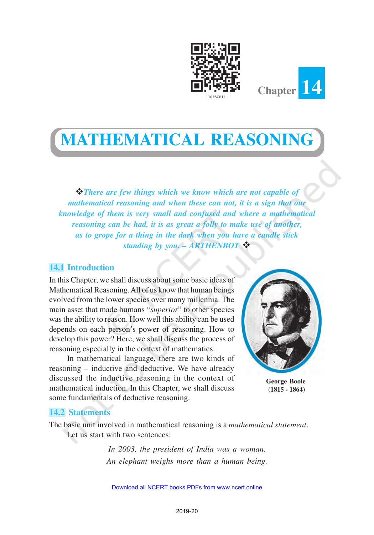



# **MATHEMATICAL REASONING**

v*There are few things which we know which are not capable of mathematical reasoning and when these can not, it is a sign that our knowledge of them is very small and confused and where a mathematical reasoning can be had, it is as great a folly to make use of another, as to grope for a thing in the dark when you have a candle stick* standing by you.  $-$  ARTHENBOT  $\mathbf{\hat{\cdot}}$ 

### **14.1 Introduction**

In this Chapter, we shall discuss about some basic ideas of Mathematical Reasoning. All of us know that human beings evolved from the lower species over many millennia. The main asset that made humans "*superior*" to other species was the ability to reason. How well this ability can be used depends on each person's power of reasoning. How to develop this power? Here, we shall discuss the process of reasoning especially in the context of mathematics.

In mathematical language, there are two kinds of reasoning – inductive and deductive. We have already discussed the inductive reasoning in the context of mathematical induction. In this Chapter, we shall discuss some fundamentals of deductive reasoning.



**George Boole (1815 - 1864)**

## **14.2 Statements**

The basic unit involved in mathematical reasoning is a *mathematical statement*. Let us start with two sentences:

> *In 2003, the president of India was a woman. An elephant weighs more than a human being.*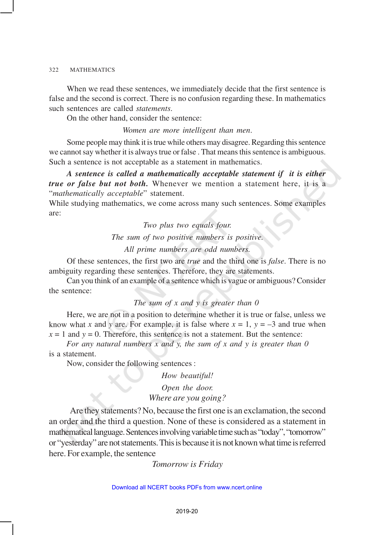When we read these sentences, we immediately decide that the first sentence is false and the second is correct. There is no confusion regarding these. In mathematics such sentences are called *statements*.

On the other hand, consider the sentence:

*Women are more intelligent than men*.

Some people may think it is true while others may disagree. Regarding this sentence we cannot say whether it is always true or false . That means this sentence is ambiguous. Such a sentence is not acceptable as a statement in mathematics.

*A sentence is called a mathematically acceptable statement if it is either true or false but not both.* Whenever we mention a statement here, it is a "*mathematically acceptable*" statement.

While studying mathematics, we come across many such sentences. Some examples are:

> *Two plus two equals four. The sum of two positive numbers is positive. All prime numbers are odd numbers.*

Of these sentences, the first two are *true* and the third one is *false*. There is no ambiguity regarding these sentences. Therefore, they are statements.

Can you think of an example of a sentence which is vague or ambiguous? Consider the sentence:

#### *The sum of x and y is greater than 0*

Here, we are not in a position to determine whether it is true or false, unless we know what *x* and *y* are. For example, it is false where  $x = 1$ ,  $y = -3$  and true when  $x = 1$  and  $y = 0$ . Therefore, this sentence is not a statement. But the sentence:

*For any natural numbers x and y, the sum of x and y is greater than 0* is a statement.

Now, consider the following sentences :

*How beautiful! Open the door. Where are you going?*

Are they statements? No, because the first one is an exclamation, the second an order and the third a question. None of these is considered as a statement in mathematical language. Sentences involving variable time such as "today", "tomorrow" or "yesterday" are not statements. This is because it is not known what time is referred here. For example, the sentence

#### *Tomorrow is Friday*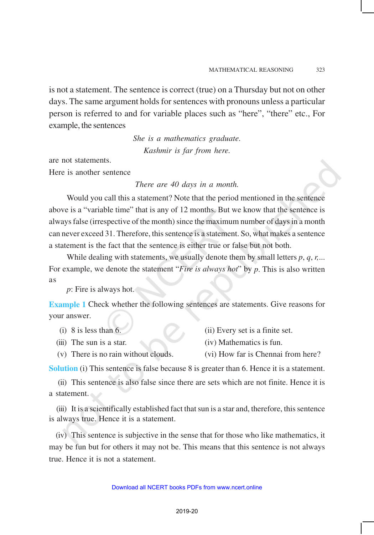is not a statement. The sentence is correct (true) on a Thursday but not on other days. The same argument holds for sentences with pronouns unless a particular person is referred to and for variable places such as "here", "there" etc., For example, the sentences

> *She is a mathematics graduate. Kashmir is far from here.*

are not statements.

Here is another sentence

*There are 40 days in a month.*

Would you call this a statement? Note that the period mentioned in the sentence above is a "variable time" that is any of 12 months. But we know that the sentence is always false (irrespective of the month) since the maximum number of days in a month can never exceed 31. Therefore, this sentence is a statement. So, what makes a sentence a statement is the fact that the sentence is either true or false but not both.

While dealing with statements, we usually denote them by small letters *p*, *q*, *r,*... For example, we denote the statement "*Fire is always hot*" by *p*. This is also written as

*p*: Fire is always hot.

**Example 1** Check whether the following sentences are statements. Give reasons for your answer.

- 
- (iii) The sun is a star. (iv) Mathematics is fun.
- (i) 8 is less than 6. (ii) Every set is a finite set.
	-
- 
- (v) There is no rain without clouds. (vi) How far is Chennai from here?

**Solution** (i) This sentence is false because 8 is greater than 6. Hence it is a statement.

(ii) This sentence is also false since there are sets which are not finite. Hence it is a statement.

(iii) It is a scientifically established fact that sun is a star and, therefore, this sentence is always true. Hence it is a statement.

(iv) This sentence is subjective in the sense that for those who like mathematics, it may be fun but for others it may not be. This means that this sentence is not always true. Hence it is not a statement.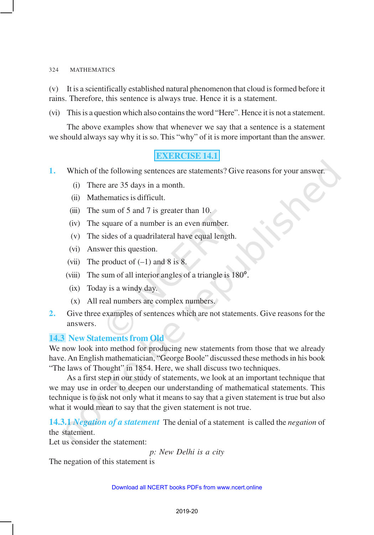(v) It is a scientifically established natural phenomenon that cloud is formed before it rains. Therefore, this sentence is always true. Hence it is a statement.

(vi) This is a question which also contains the word "Here". Hence it is not a statement.

The above examples show that whenever we say that a sentence is a statement we should always say why it is so. This "why" of it is more important than the answer.

## **EXERCISE 14.1**

- **1.** Which of the following sentences are statements? Give reasons for your answer.
	- (i) There are 35 days in a month.
	- (ii) Mathematics is difficult.
	- (iii) The sum of 5 and 7 is greater than 10.
	- (iv) The square of a number is an even number.
	- (v) The sides of a quadrilateral have equal length.
	- (vi) Answer this question.
	- (vii) The product of  $(-1)$  and 8 is 8.
	- (viii) The sum of all interior angles of a triangle is 180°.
	- (ix) Today is a windy day.
	- (x) All real numbers are complex numbers.
- **2.** Give three examples of sentences which are not statements. Give reasons for the answers.

## **14.3 New Statements from Old**

We now look into method for producing new statements from those that we already have. An English mathematician, "George Boole" discussed these methods in his book "The laws of Thought" in 1854. Here, we shall discuss two techniques.

As a first step in our study of statements, we look at an important technique that we may use in order to deepen our understanding of mathematical statements. This technique is to ask not only what it means to say that a given statement is true but also what it would mean to say that the given statement is not true.

**14.3.1** *Negation of a statement* The denial of a statement is called the *negation* of the statement.

Let us consider the statement:

*p: New Delhi is a city*

The negation of this statement is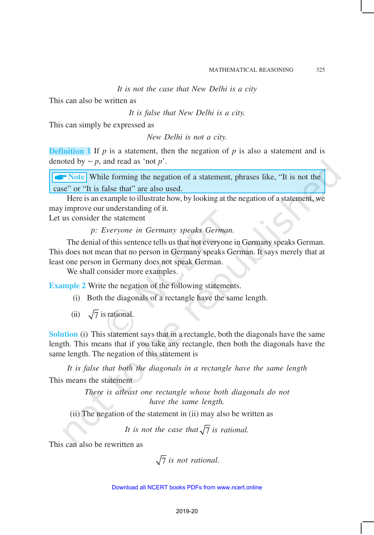#### *It is not the case that New Delhi is a city*

This can also be written as

*It is false that New Delhi is a city.*

This can simply be expressed as

*New Delhi is not a city.*

**Definition 1** If  $p$  is a statement, then the negation of  $p$  is also a statement and is denoted by ∼ *p*, and read as 'not *p*'.

**ANOTE** While forming the negation of a statement, phrases like, "It is not the case" or "It is false that" are also used.

Here is an example to illustrate how, by looking at the negation of a statement, we may improve our understanding of it.

Let us consider the statement

*p: Everyone in Germany speaks German.*

The denial of this sentence tells us that not everyone in Germany speaks German. This does not mean that no person in Germany speaks German. It says merely that at least one person in Germany does not speak German.

We shall consider more examples.

**Example 2** Write the negation of the following statements.

- (i) Both the diagonals of a rectangle have the same length.
- (ii)  $\sqrt{7}$  is rational.

**Solution** (i) This statement says that in a rectangle, both the diagonals have the same length. This means that if you take any rectangle, then both the diagonals have the same length. The negation of this statement is

*It is false that both the diagonals in a rectangle have the same length* This means the statement

> *There is atleast one rectangle whose both diagonals do not have the same length.*

(ii) The negation of the statement in (ii) may also be written as

*It is not the case that*  $\sqrt{7}$  *is rational.* 

This can also be rewritten as

7 *is not rational.*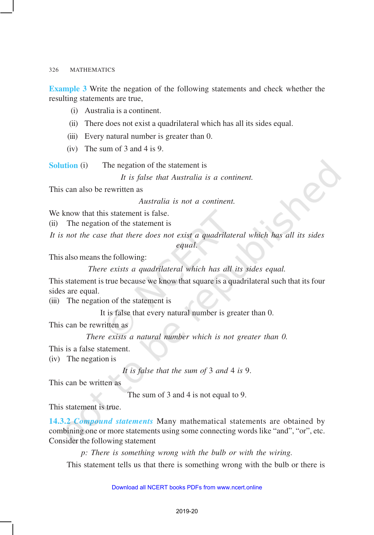**Example 3** Write the negation of the following statements and check whether the resulting statements are true,

- (i) Australia is a continent.
- (ii) There does not exist a quadrilateral which has all its sides equal.
- (iii) Every natural number is greater than 0.
- (iv) The sum of 3 and 4 is 9.

**Solution** (i) The negation of the statement is

*It is false that Australia is a continent.*

This can also be rewritten as

*Australia is not a continent.*

We know that this statement is false.

(ii) The negation of the statement is

*It is not the case that there does not exist a quadrilateral which has all its sides equal.*

This also means the following:

*There exists a quadrilateral which has all its sides equal.*

This statement is true because we know that square is a quadrilateral such that its four sides are equal.

(iii) The negation of the statement is

It is false that every natural number is greater than 0.

This can be rewritten as

*There exists a natural number which is not greater than 0.*

This is a false statement.

(iv) The negation is

*It is false that the sum of* 3 *and* 4 *is* 9.

This can be written as

The sum of 3 and 4 is not equal to 9.

This statement is true.

**14.3.2** *Compound statements* Many mathematical statements are obtained by combining one or more statements using some connecting words like "and", "or", etc. Consider the following statement

*p: There is something wrong with the bulb or with the wiring.*

This statement tells us that there is something wrong with the bulb or there is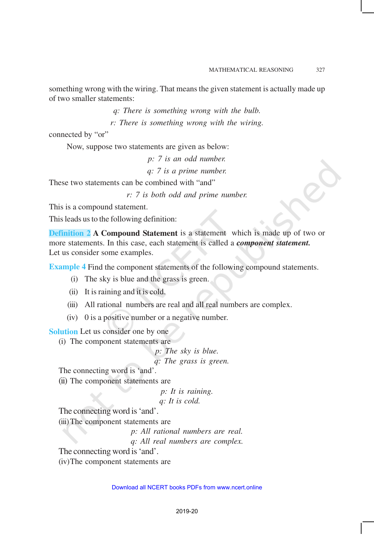something wrong with the wiring. That means the given statement is actually made up of two smaller statements:

> *q: There is something wrong with the bulb. r: There is something wrong with the wiring.*

connected by "or"

Now, suppose two statements are given as below:

*p: 7 is an odd number.*

*q: 7 is a prime number.*

These two statements can be combined with "and"

*r: 7 is both odd and prime number.*

This is a compound statement.

This leads us to the following definition:

**Definition 2 A Compound Statement** is a statement which is made up of two or more statements. In this case, each statement is called a *component statement.* Let us consider some examples.

**Example 4** Find the component statements of the following compound statements.

- (i) The sky is blue and the grass is green.
- (ii) It is raining and it is cold.
- (iii) All rational numbers are real and all real numbers are complex.
- (iv) 0 is a positive number or a negative number.

**Solution** Let us consider one by one

(i) The component statements are

*p: The sky is blue.*

*q: The grass is green.*

The connecting word is 'and'.

(ii) The component statements are

*p: It is raining. q: It is cold.*

The connecting word is 'and'.

(iii)The component statements are

*p: All rational numbers are real.*

*q: All real numbers are complex.*

The connecting word is 'and'.

(iv)The component statements are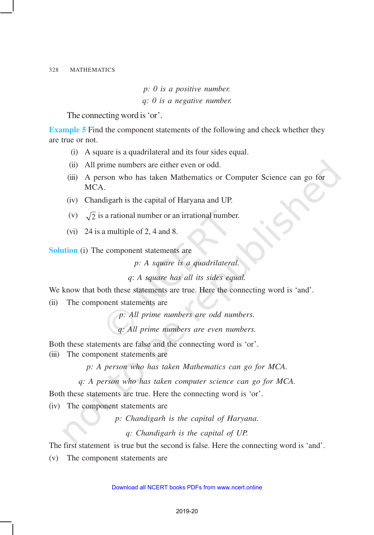*p: 0 is a positive number. q: 0 is a negative number.*

The connecting word is 'or'.

**Example 5** Find the component statements of the following and check whether they are true or not.

- (i) A square is a quadrilateral and its four sides equal.
- (ii) All prime numbers are either even or odd.
- (iii) A person who has taken Mathematics or Computer Science can go for MCA.
- (iv) Chandigarh is the capital of Haryana and UP.
- (v)  $\sqrt{2}$  is a rational number or an irrational number.
- (vi) 24 is a multiple of 2, 4 and 8.

**Solution** (i) The component statements are

*p: A square is a quadrilateral.*

*q*: *A square has all its sides equal.*

We know that both these statements are true. Here the connecting word is 'and'.

(ii) The component statements are

*p: All prime numbers are odd numbers.*

*q: All prime numbers are even numbers.*

Both these statements are false and the connecting word is 'or'. (iii) The component statements are

*p: A person who has taken Mathematics can go for MCA.*

*q: A person who has taken computer science can go for MCA.* Both these statements are true. Here the connecting word is 'or'.

(iv) The component statements are

*p: Chandigarh is the capital of Haryana.*

*q: Chandigarh is the capital of UP.*

The first statement is true but the second is false. Here the connecting word is 'and'. (v) The component statements are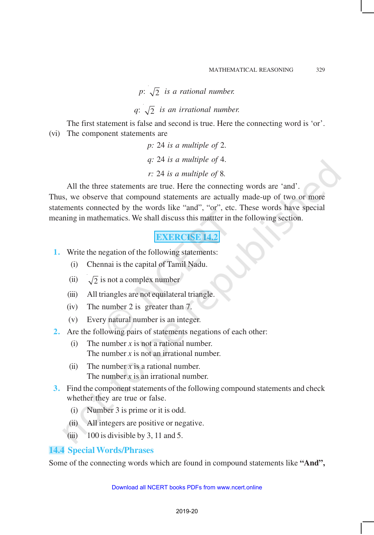*p*:  $\sqrt{2}$  *is a rational number. q*:  $\sqrt{2}$  *is an irrational number.* 

The first statement is false and second is true. Here the connecting word is 'or'. (vi) The component statements are

> *p:* 24 *is a multiple of* 2. *q:* 24 *is a multiple of* 4. *r:* 24 *is a multiple of* 8*.*

All the three statements are true. Here the connecting words are 'and'.

Thus, we observe that compound statements are actually made-up of two or more statements connected by the words like "and", "or", etc. These words have special meaning in mathematics. We shall discuss this mattter in the following section.

## **EXERCISE 14.2**

- **1.** Write the negation of the following statements:
	- (i) Chennai is the capital of Tamil Nadu.
	- (ii)  $\sqrt{2}$  is not a complex number
	- (iii) All triangles are not equilateral triangle.
	- (iv) The number 2 is greater than 7.
	- (v) Every natural number is an integer.
- **2.** Are the following pairs of statements negations of each other:
	- (i) The number *x* is not a rational number. The number *x* is not an irrational number.
	- (ii) The number  $x$  is a rational number. The number *x* is an irrational number.
- **3.** Find the component statements of the following compound statements and check whether they are true or false.
	- (i) Number 3 is prime or it is odd.
	- (ii) All integers are positive or negative.
	- (iii)  $100$  is divisible by 3, 11 and 5.

#### **14.4 Special Words/Phrases**

Some of the connecting words which are found in compound statements like **"And",**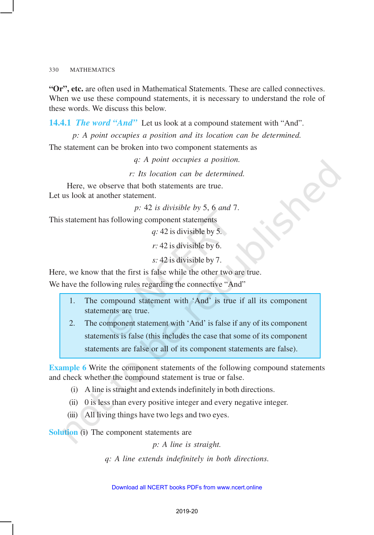**"Or", etc.** are often used in Mathematical Statements. These are called connectives. When we use these compound statements, it is necessary to understand the role of these words. We discuss this below.

**14.4.1** *The word "And"* Let us look at a compound statement with "And".

*p: A point occupies a position and its location can be determined.* The statement can be broken into two component statements as

*q: A point occupies a position.*

*r: Its location can be determined.*

Here, we observe that both statements are true. Let us look at another statement.

*p:* 42 *is divisible by* 5, 6 *and* 7.

This statement has following component statements

*q:* 42 is divisible by 5*.*

*r:* 42 is divisible by 6.

*s:* 42 is divisible by 7.

Here, we know that the first is false while the other two are true.

We have the following rules regarding the connective "And"

- 1. The compound statement with 'And' is true if all its component statements are true.
- 2. The component statement with 'And' is false if any of its component statements is false (this includes the case that some of its component statements are false or all of its component statements are false).

**Example 6** Write the component statements of the following compound statements and check whether the compound statement is true or false.

- (i) A line is straight and extends indefinitely in both directions.
- (ii) 0 is less than every positive integer and every negative integer.
- (iii) All living things have two legs and two eyes.

**Solution** (i) The component statements are

*p: A line is straight.*

*q: A line extends indefinitely in both directions.*

Download all NCERT books PDFs from [www.ncert.online](http://www.ncert.online)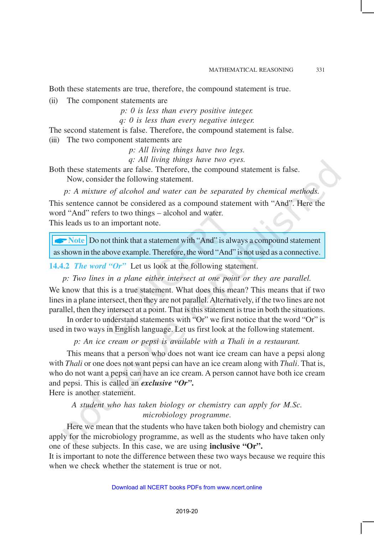Both these statements are true, therefore, the compound statement is true.

(ii) The component statements are

*p: 0 is less than every positive integer. q: 0 is less than every negative integer.*

The second statement is false. Therefore, the compound statement is false. (iii) The two component statements are

*p: All living things have two legs.*

*q: All living things have two eyes.*

Both these statements are false. Therefore, the compound statement is false.

Now, consider the following statement.

*p: A mixture of alcohol and water can be separated by chemical methods.* This sentence cannot be considered as a compound statement with "And". Here the word "And" refers to two things – alcohol and water.

This leads us to an important note.

**ARTICE** Do not think that a statement with "And" is always a compound statement as shown in the above example. Therefore, the word "And" is not used as a connective.

**14.4.2** *The word "Or"* Let us look at the following statement.

*p: Two lines in a plane either intersect at one point or they are parallel.*

We know that this is a true statement. What does this mean? This means that if two lines in a plane intersect, then they are not parallel. Alternatively, if the two lines are not parallel, then they intersect at a point. That is this statement is true in both the situations.

In order to understand statements with "Or" we first notice that the word "Or" is used in two ways in English language. Let us first look at the following statement.

*p: An ice cream or pepsi is available with a Thali in a restaurant.*

This means that a person who does not want ice cream can have a pepsi along with *Thali* or one does not want pepsi can have an ice cream along with *Thali*. That is, who do not want a pepsi can have an ice cream. A person cannot have both ice cream and pepsi. This is called an *exclusive "Or"***.**

Here is another statement.

*A student who has taken biology or chemistry can apply for M.Sc. microbiology programme.*

Here we mean that the students who have taken both biology and chemistry can apply for the microbiology programme, as well as the students who have taken only one of these subjects. In this case, we are using **inclusive "Or".**

It is important to note the difference between these two ways because we require this when we check whether the statement is true or not.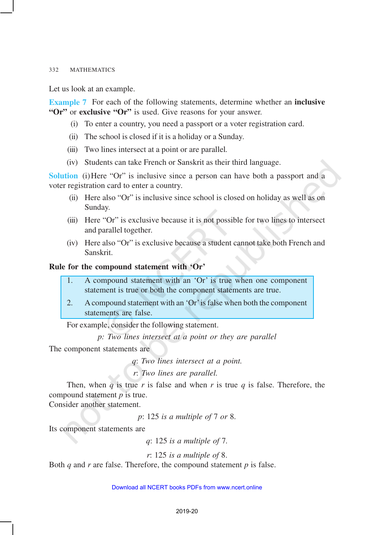Let us look at an example.

**Example 7** For each of the following statements, determine whether an **inclusive "Or"** or **exclusive "Or"** is used. Give reasons for your answer.

- (i) To enter a country, you need a passport or a voter registration card.
- (ii) The school is closed if it is a holiday or a Sunday.
- (iii) Two lines intersect at a point or are parallel*.*
- (iv) Students can take French or Sanskrit as their third language.

**Solution** (i) Here "Or" is inclusive since a person can have both a passport and a voter registration card to enter a country.

- (ii) Here also "Or" is inclusive since school is closed on holiday as well as on Sunday.
- (iii) Here "Or" is exclusive because it is not possible for two lines to intersect and parallel together.
- (iv) Here also "Or" is exclusive because a student cannot take both French and Sanskrit.

#### **Rule for the compound statement with 'Or'**

- 1. A compound statement with an 'Or' is true when one component statement is true or both the component statements are true.
- 2. A compound statement with an 'Or' is false when both the component statements are false.

For example, consider the following statement.

*p: Two lines intersect at a point or they are parallel*

The component statements are

*q*: *Two lines intersect at a point.*

*r*: *Two lines are parallel.*

Then, when  $q$  is true  $r$  is false and when  $r$  is true  $q$  is false. Therefore, the compound statement *p* is true.

Consider another statement.

*p*: 125 *is a multiple of* 7 *or* 8.

Its component statements are

*q*: 125 *is a multiple of* 7*.*

*r*: 125 *is a multiple of* 8.

Both *q* and *r* are false. Therefore, the compound statement *p* is false.

Download all NCERT books PDFs from [www.ncert.online](http://www.ncert.online)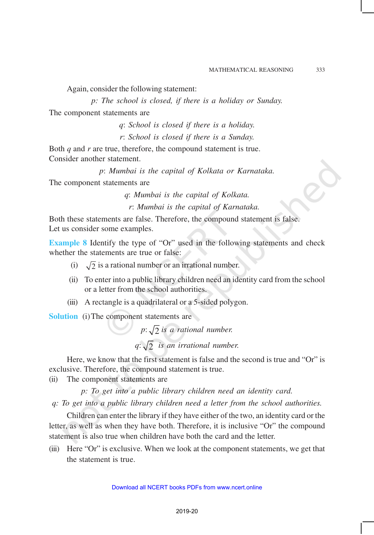Again, consider the following statement:

*p: The school is closed, if there is a holiday or Sunday.*

The component statements are

*q*: *School is closed if there is a holiday. r*: *School is closed if there is a Sunday.*

Both *q* and *r* are true, therefore, the compound statement is true. Consider another statement.

*p*: *Mumbai is the capital of Kolkata or Karnataka.*

The component statements are

*q*: *Mumbai is the capital of Kolkata.*

 *r*: *Mumbai is the capital of Karnataka.*

Both these statements are false. Therefore, the compound statement is false. Let us consider some examples.

**Example 8** Identify the type of "Or" used in the following statements and check whether the statements are true or false:

- (i)  $\sqrt{2}$  is a rational number or an irrational number.
- (ii) To enter into a public library children need an identity card from the school or a letter from the school authorities.
- (iii) A rectangle is a quadrilateral or a 5-sided polygon.

**Solution** (i) The component statements are

*p*:  $\sqrt{2}$  *is a rational number.*  $q: \sqrt{2}$  is an irrational number.

Here, we know that the first statement is false and the second is true and "Or" is exclusive. Therefore, the compound statement is true.

(ii) The component statements are

*p: To get into a public library children need an identity card.*

*q: To get into a public library children need a letter from the school authorities.*

Children can enter the library if they have either of the two, an identity card or the letter, as well as when they have both. Therefore, it is inclusive "Or" the compound statement is also true when children have both the card and the letter.

(iii) Here "Or" is exclusive. When we look at the component statements, we get that the statement is true.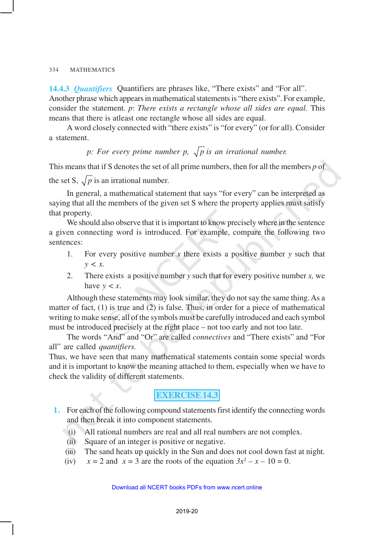**14.4.3** *Quantifiers* Quantifiers are phrases like, "There exists" and "For all". Another phrase which appears in mathematical statements is "there exists". For example, consider the statement. *p*: *There exists a rectangle whose all sides are equal.* This means that there is atleast one rectangle whose all sides are equal.

A word closely connected with "there exists" is "for every" (or for all). Consider a statement.

*p: For every prime number p,*  $\sqrt{p}$  *is an irrational number.* 

This means that if S denotes the set of all prime numbers, then for all the members *p* of the set S,  $\sqrt{p}$  is an irrational number.

In general, a mathematical statement that says "for every" can be interpreted as saying that all the members of the given set S where the property applies must satisfy that property.

We should also observe that it is important to know precisely where in the sentence a given connecting word is introduced. For example, compare the following two sentences:

- 1. For every positive number *x* there exists a positive number *y* such that *y < x.*
- 2. There exists a positive number  $y$  such that for every positive number  $x$ , we have  $y < x$ .

Although these statements may look similar, they do not say the same thing. As a matter of fact, (1) is true and (2) is false. Thus, in order for a piece of mathematical writing to make sense, all of the symbols must be carefully introduced and each symbol must be introduced precisely at the right place – not too early and not too late.

The words "And" and "Or" are called *connectives* and "There exists" and "For all" are called *quantifiers.*

Thus, we have seen that many mathematical statements contain some special words and it is important to know the meaning attached to them, especially when we have to check the validity of different statements.

## **EXERCISE 14.3**

- **1.** For each of the following compound statements first identify the connecting words and then break it into component statements.
	- (i) All rational numbers are real and all real numbers are not complex.
	- (ii) Square of an integer is positive or negative.
	- (iii) The sand heats up quickly in the Sun and does not cool down fast at night.
	- (iv)  $x = 2$  and  $x = 3$  are the roots of the equation  $3x^2 x 10 = 0$ .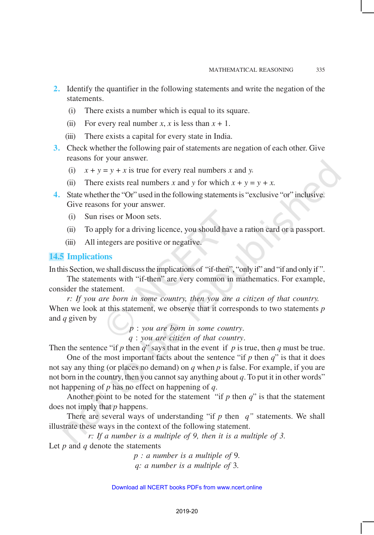- **2.** Identify the quantifier in the following statements and write the negation of the statements.
	- (i) There exists a number which is equal to its square.
	- (ii) For every real number *x*, *x* is less than  $x + 1$ .
	- (iii) There exists a capital for every state in India.
- **3.** Check whether the following pair of statements are negation of each other. Give reasons for your answer.
	- (i)  $x + y = y + x$  is true for every real numbers *x* and *y*.
	- (ii) There exists real numbers *x* and *y* for which  $x + y = y + x$ .
- **4.** State whether the "Or" used in the following statements is "exclusive "or" inclusive. Give reasons for your answer.
	- (i) Sun rises or Moon sets.
	- (ii) To apply for a driving licence, you should have a ration card or a passport.
	- (iii) All integers are positive or negative.

#### **14.5 Implications**

In this Section, we shall discuss the implications of "if-then", "only if" and "if and only if".

The statements with "if-then" are very common in mathematics. For example, consider the statement.

*r: If you are born in some country, then you are a citizen of that country.* When we look at this statement, we observe that it corresponds to two statements *p* and *q* given by

*p* : *you are born in some country*.

*q* : *you are citizen of that country*.

Then the sentence "if  $p$  then  $q$ " says that in the event if  $p$  is true, then  $q$  must be true.

One of the most important facts about the sentence "if  $p$  then  $q$ " is that it does not say any thing (or places no demand) on *q* when *p* is false. For example, if you are not born in the country, then you cannot say anything about *q*. To put it in other words" not happening of *p* has no effect on happening of *q*.

Another point to be noted for the statement "if  $p$  then  $q$ " is that the statement does not imply that *p* happens.

There are several ways of understanding "if *p* then *q"* statements. We shall illustrate these ways in the context of the following statement.

*r: If a number is a multiple of 9, then it is a multiple of 3.* Let *p* and *q* denote the statements

*p : a number is a multiple of* 9*. q: a number is a multiple of* 3*.*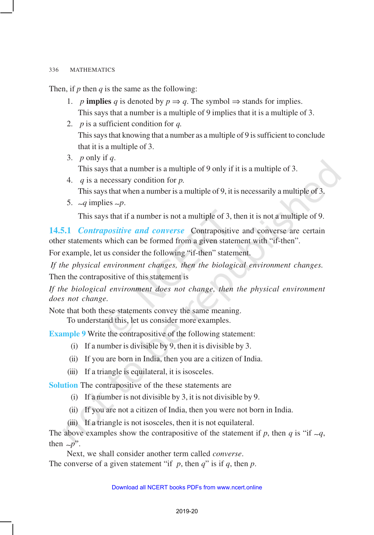Then, if *p* then *q* is the same as the following:

- 1. *p* **implies** *q* is denoted by  $p \Rightarrow q$ . The symbol  $\Rightarrow$  stands for implies. This says that a number is a multiple of 9 implies that it is a multiple of 3.
- 2. *p* is a sufficient condition for *q.* This says that knowing that a number as a multiple of 9 is sufficient to conclude that it is a multiple of 3.
- 3. *p* only if *q*. This says that a number is a multiple of 9 only if it is a multiple of 3.
- 4. *q* is a necessary condition for *p.* This says that when a number is a multiple of 9, it is necessarily a multiple of 3.
- 5. ∼*q* implies ∼*p*.

This says that if a number is not a multiple of 3, then it is not a multiple of 9.

**14.5.1** *Contrapositive and converse*Contrapositive and converse are certain other statements which can be formed from a given statement with "if-then".

For example, let us consider the following "if-then" statement.

*If the physical environment changes, then the biological environment changes.* Then the contrapositive of this statement is

*If the biological environment does not change, then the physical environment does not change.*

Note that both these statements convey the same meaning.

To understand this, let us consider more examples.

**Example 9** Write the contrapositive of the following statement:

- (i) If a number is divisible by 9, then it is divisible by 3.
- (ii) If you are born in India, then you are a citizen of India.
- (iii) If a triangle is equilateral, it is isosceles.

**Solution** The contrapositive of the these statements are

- (i) If a number is not divisible by 3, it is not divisible by 9.
- (ii) If you are not a citizen of India, then you were not born in India.
- (iii) If a triangle is not isosceles, then it is not equilateral.

The above examples show the contrapositive of the statement if *p*, then *q* is "if ∼*q*, then ∼*p*".

Next, we shall consider another term called *converse*. The converse of a given statement "if *p*, then *q*" is if *q*, then *p*.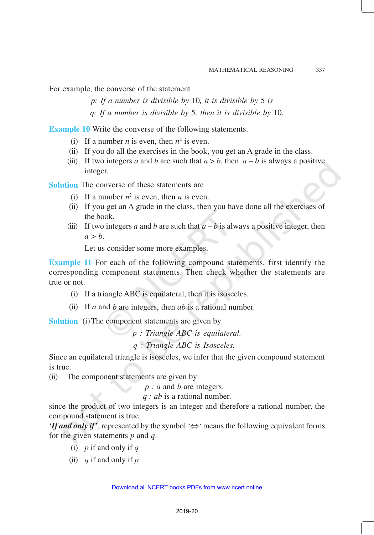For example, the converse of the statement

*p: If a number is divisible by* 10*, it is divisible by* 5 *is*

*q: If a number is divisible by* 5*, then it is divisible by* 10.

**Example 10** Write the converse of the following statements.

- (i) If a number *n* is even, then  $n^2$  is even.
- (ii) If you do all the exercises in the book, you get an A grade in the class.
- (iii) If two integers *a* and *b* are such that  $a > b$ , then  $a b$  is always a positive integer.

**Solution** The converse of these statements are

- (i) If a number  $n^2$  is even, then *n* is even.
- (ii) If you get an A grade in the class, then you have done all the exercises of the book.
- (iii) If two integers *a* and *b* are such that  $a b$  is always a positive integer, then  $a > b$ .

Let us consider some more examples.

**Example 11** For each of the following compound statements, first identify the corresponding component statements. Then check whether the statements are true or not.

- (i) If a triangle ABC is equilateral, then it is isosceles.
- (ii) If *a* and *b* are integers, then *ab* is a rational number.

**Solution** (i) The component statements are given by

*p : Triangle ABC is equilateral.*

*q : Triangle ABC is Isosceles.*

Since an equilateral triangle is isosceles, we infer that the given compound statement is true.

(ii) The component statements are given by

 *p : a* and *b* are integers.

*q : ab* is a rational number.

since the product of two integers is an integer and therefore a rational number, the compound statement is true.

*'If and only if'*, represented by the symbol '⇔' means the following equivalent forms for the given statements *p* and *q*.

- (i) *p* if and only if *q*
- (ii) *q* if and only if *p*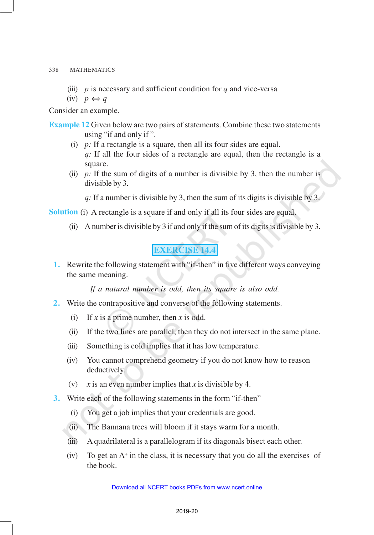- (iii) *p* is necessary and sufficient condition for *q* and vice-versa
- (iv) *p* ⇔ *q*

Consider an example.

- **Example 12** Given below are two pairs of statements. Combine these two statements using "if and only if ".
	- (i) *p:* If a rectangle is a square, then all its four sides are equal. *q:* If all the four sides of a rectangle are equal, then the rectangle is a square.
	- (ii) *: If the sum of digits of a number is divisible by 3, then the number is* divisible by 3.

*q:* If a number is divisible by 3, then the sum of its digits is divisible by 3.

**Solution** (i) A rectangle is a square if and only if all its four sides are equal.

(ii) A number is divisible by 3 if and only if the sum of its digits is divisible by 3.

## **EXERCISE 14.4**

**1.** Rewrite the following statement with "if-then" in five different ways conveying the same meaning.

*If a natural number is odd, then its square is also odd.*

- **2.** Write the contrapositive and converse of the following statements.
	- (i) If *x* is a prime number, then *x* is odd.
	- (ii) If the two lines are parallel, then they do not intersect in the same plane.
	- (iii) Something is cold implies that it has low temperature.
	- (iv) You cannot comprehend geometry if you do not know how to reason deductively.
	- (v)  $\bar{x}$  is an even number implies that  $\bar{x}$  is divisible by 4.
- **3.** Write each of the following statements in the form "if-then"
	- (i) You get a job implies that your credentials are good.
	- (ii) The Bannana trees will bloom if it stays warm for a month.
	- (iii) A quadrilateral is a parallelogram if its diagonals bisect each other.
	- (iv) To get an A<sup>+</sup> in the class, it is necessary that you do all the exercises of the book.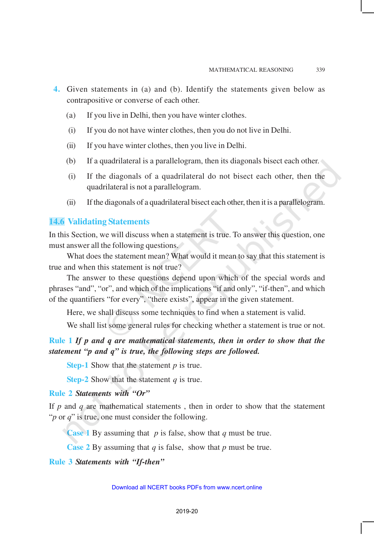- **4.** Given statements in (a) and (b). Identify the statements given below as contrapositive or converse of each other.
	- (a) If you live in Delhi, then you have winter clothes.
	- (i) If you do not have winter clothes, then you do not live in Delhi.
	- (ii) If you have winter clothes, then you live in Delhi.
	- (b) If a quadrilateral is a parallelogram, then its diagonals bisect each other.
	- (i) If the diagonals of a quadrilateral do not bisect each other, then the quadrilateral is not a parallelogram.
	- (ii) If the diagonals of a quadrilateral bisect each other, then it is a parallelogram.

#### **14.6 Validating Statements**

In this Section, we will discuss when a statement is true. To answer this question, one must answer all the following questions.

What does the statement mean? What would it mean to say that this statement is true and when this statement is not true?

The answer to these questions depend upon which of the special words and phrases "and", "or", and which of the implications "if and only", "if-then", and which of the quantifiers "for every", "there exists", appear in the given statement.

Here, we shall discuss some techniques to find when a statement is valid.

We shall list some general rules for checking whether a statement is true or not.

## **Rule 1** *If p and q are mathematical statements, then in order to show that the statement "p and q" is true, the following steps are followed.*

**Step-1** Show that the statement *p* is true.

**Step-2** Show that the statement *q* is true.

#### **Rule 2** *Statements with "Or"*

If  $p$  and  $q$  are mathematical statements, then in order to show that the statement "*p* or *q*" is true, one must consider the following.

**Case 1** By assuming that *p* is false, show that *q* must be true.

**Case 2** By assuming that *q* is false, show that *p* must be true.

#### **Rule 3** *Statements with "If-then"*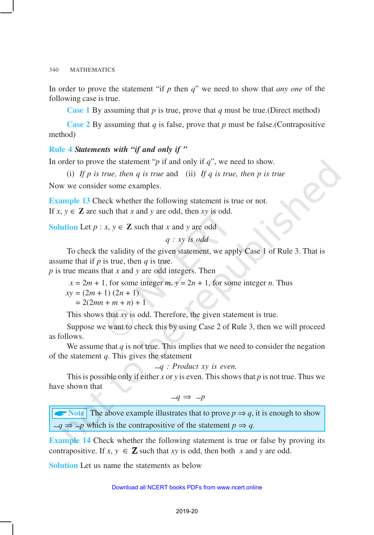In order to prove the statement "if *p* then *q*" we need to show that *any one* of the following case is true.

**Case 1** By assuming that *p* is true, prove that *q* must be true.(Direct method)

**Case 2** By assuming that *q* is false, prove that *p* must be false.(Contrapositive method)

#### **Rule 4** *Statements with "if and only if "*

In order to prove the statement "*p* if and only if *q*", we need to show.

(i) *If p is true, then q is true* and(ii) *If q is true, then p is true*

Now we consider some examples.

**Example 13** Check whether the following statement is true or not. If  $x, y \in \mathbb{Z}$  are such that *x* and *y* are odd, then *xy* is odd.

**Solution** Let  $p : x, y \in \mathbb{Z}$  such that *x* and *y* are odd

#### *q : xy is odd*

To check the validity of the given statement, we apply Case 1 of Rule 3. That is assume that if *p* is true, then *q* is true.

*p* is true means that *x* and *y* are odd integers. Then

 $x = 2m + 1$ , for some integer *m*.  $y = 2n + 1$ , for some integer *n*. Thus

 $xy = (2m + 1)(2n + 1)$ 

 $= 2(2mn + m + n) + 1$ 

This shows that *xy* is odd. Therefore, the given statement is true.

Suppose we want to check this by using Case 2 of Rule 3, then we will proceed as follows.

We assume that  $q$  is not true. This implies that we need to consider the negation of the statement *q*. This gives the statement

∼*q : Product xy is even.*

This is possible only if either *x* or *y* is even. This shows that *p* is not true. Thus we have shown that

∼*q* ⇒ ∼*p*

Archives The above example illustrates that to prove  $p \Rightarrow q$ , it is enough to show ∼*q* ⇒ ∼*p* which is the contrapositive of the statement *p* ⇒ *q.*

**Example 14** Check whether the following statement is true or false by proving its contrapositive. If  $x, y \in \mathbb{Z}$  such that *xy* is odd, then both *x* and *y* are odd.

**Solution** Let us name the statements as below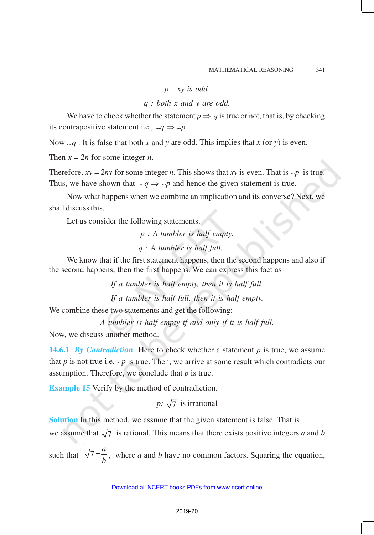# *p : xy is odd.*

*q : both x and y are odd.*

We have to check whether the statement  $p \Rightarrow q$  is true or not, that is, by checking its contrapositive statement i.e., ∼*q* ⇒ ∼*p*

Now ∼*q* : It is false that both *x* and *y* are odd. This implies that *x* (or *y*) is even.

Then  $x = 2n$  for some integer *n*.

Therefore, *xy* = 2*ny* for some integer *n*. This shows that *xy* is even. That is ∼*p* is true. Thus, we have shown that ∼*q* ⇒ ∼*p* and hence the given statement is true.

Now what happens when we combine an implication and its converse? Next, we shall discuss this.

Let us consider the following statements.

*p : A tumbler is half empty.*

 *q : A tumbler is half full.*

We know that if the first statement happens, then the second happens and also if the second happens, then the first happens. We can express this fact as

*If a tumbler is half empty, then it is half full.*

*If a tumbler is half full, then it is half empty.*

We combine these two statements and get the following:

*A tumbler is half empty if and only if it is half full.*

Now, we discuss another method.

**14.6.1** *By Contradiction* Here to check whether a statement *p* is true, we assume that *p* is not true i.e. ∼*p* is true. Then, we arrive at some result which contradicts our assumption. Therefore, we conclude that *p* is true.

**Example 15** Verify by the method of contradiction.

*p*:  $\sqrt{7}$  is irrational

**Solution** In this method, we assume that the given statement is false. That is we assume that  $\sqrt{7}$  is rational. This means that there exists positive integers *a* and *b* 

such that  $\sqrt{7} = \frac{a}{1}$  $=\frac{a}{b}$ , where *a* and *b* have no common factors. Squaring the equation,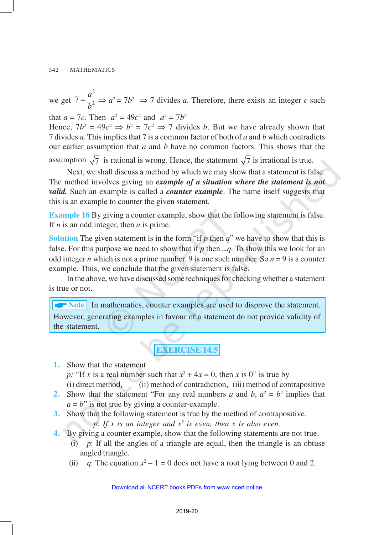we get 2  $7 = \frac{a^2}{b^2}$  $= \frac{a}{b^2} \Rightarrow a^2 = 7b^2 \Rightarrow 7$  divides *a*. Therefore, there exists an integer *c* such

that  $a = 7c$ . Then  $a^2 = 49c^2$  and  $a^2 = 7b^2$ Hence,  $7b^2 = 49c^2 \Rightarrow b^2 = 7c^2 \Rightarrow 7$  divides *b*. But we have already shown that 7 divides *a*. This implies that 7 is a common factor of both of *a* and *b* which contradicts our earlier assumption that *a* and *b* have no common factors. This shows that the assumption  $\sqrt{7}$  is rational is wrong. Hence, the statement  $\sqrt{7}$  is irrational is true.

Next, we shall discuss a method by which we may show that a statement is false. The method involves giving an *example of a situation where the statement is not valid.* Such an example is called a *counter example*. The name itself suggests that this is an example to counter the given statement.

**Example 16** By giving a counter example, show that the following statement is false. If *n* is an odd integer, then *n* is prime.

**Solution** The given statement is in the form "if  $p$  then  $q$ " we have to show that this is false. For this purpose we need to show that if *p* then ∼*q*. To show this we look for an odd integer *n* which is not a prime number. 9 is one such number. So  $n = 9$  is a counter example. Thus, we conclude that the given statement is false.

In the above, we have discussed some techniques for checking whether a statement is true or not.

**ANOTE** In mathematics, counter examples are used to disprove the statement. However, generating examples in favour of a statement do not provide validity of the statement.

# **EXERCISE 14.5**

- **1.** Show that the statement *p*: "If *x* is a real number such that  $x^3 + 4x = 0$ , then *x* is 0" is true by (i) direct method, (ii) method of contradiction, (iii) method of contrapositive
- **2.** Show that the statement "For any real numbers *a* and *b*,  $a^2 = b^2$  implies that  $a = b$ " is not true by giving a counter-example.
- **3.** Show that the following statement is true by the method of contrapositive. *p*: *If x is an integer and x<sup>2</sup> is even, then x is also even.*

**4.** By giving a counter example, show that the following statements are not true.

- (i) *p*: If all the angles of a triangle are equal, then the triangle is an obtuse angled triangle.
- (ii) *q*: The equation  $x^2 1 = 0$  does not have a root lying between 0 and 2.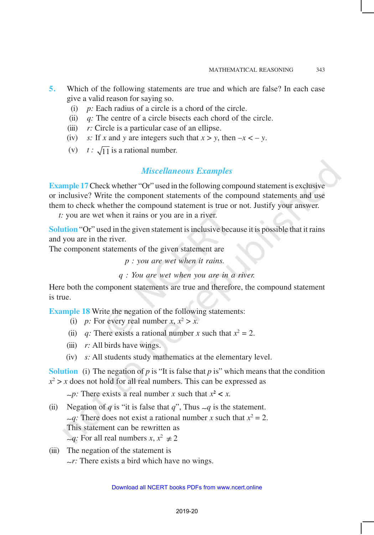- **5.** Which of the following statements are true and which are false? In each case give a valid reason for saying so.
	- (i) *p:* Each radius of a circle is a chord of the circle.
	- (ii) *q:* The centre of a circle bisects each chord of the circle.
	- (iii) *r:* Circle is a particular case of an ellipse.
	- (iv) *s*: If *x* and *y* are integers such that  $x > y$ , then  $-x < -y$ .
	- (v)  $t : \sqrt{11}$  is a rational number.

#### *Miscellaneous Examples*

**Example 17** Check whether "Or" used in the following compound statement is exclusive or inclusive? Write the component statements of the compound statements and use them to check whether the compound statement is true or not. Justify your answer.

*t:* you are wet when it rains or you are in a river.

**Solution** "Or" used in the given statement is inclusive because it is possible that it rains and you are in the river.

The component statements of the given statement are

 *p : you are wet when it rains.*

```
q : You are wet when you are in a river.
```
Here both the component statements are true and therefore, the compound statement is true.

**Example 18** Write the negation of the following statements:

- (i) *p*: For every real number *x*,  $x^2 > x$ .
- (ii) *q*: There exists a rational number *x* such that  $x^2 = 2$ .
- (iii) *r:* All birds have wings.
- (iv) *s:* All students study mathematics at the elementary level.

**Solution** (i) The negation of *p* is "It is false that *p* is" which means that the condition  $x^2$  > *x* does not hold for all real numbers. This can be expressed as

 $\nu$ *-p*: There exists a real number *x* such that  $x^2$  < *x*.

- (ii) Negation of *q* is "it is false that *q*", Thus ∼*q* is the statement.  $\sim q$ : There does not exist a rational number *x* such that  $x^2 = 2$ . This statement can be rewritten as  $\sim q$ : For all real numbers *x*,  $x^2 \neq 2$
- (iii) The negation of the statement is ∼*r:* There exists a bird which have no wings.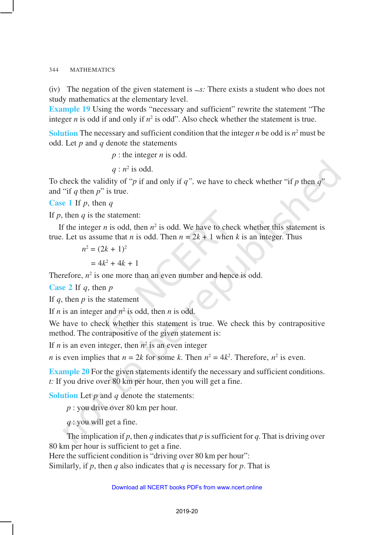(iv) The negation of the given statement is ∼*s:* There exists a student who does not study mathematics at the elementary level.

**Example 19** Using the words "necessary and sufficient" rewrite the statement "The integer *n* is odd if and only if  $n^2$  is odd". Also check whether the statement is true.

**Solution** The necessary and sufficient condition that the integer *n* be odd is  $n^2$  must be odd. Let *p* and *q* denote the statements

*p* : the integer *n* is odd.

 $q : n^2$  is odd.

To check the validity of "*p* if and only if *q*", we have to check whether "if *p* then *q*" and "if *q* then *p*" is true.

**Case 1** If *p*, then *q*

If *p*, then *q* is the statement:

If the integer  $n$  is odd, then  $n^2$  is odd. We have to check whether this statement is true. Let us assume that *n* is odd. Then  $n = 2k + 1$  when *k* is an integer. Thus

$$
n2 = (2k + 1)2
$$

$$
= 4k2 + 4k + 1
$$

Therefore,  $n^2$  is one more than an even number and hence is odd.

**Case 2** If *q*, then *p*

If *q*, then *p* is the statement

If *n* is an integer and  $n^2$  is odd, then *n* is odd.

We have to check whether this statement is true. We check this by contrapositive method. The contrapositive of the given statement is:

If *n* is an even integer, then  $n^2$  is an even integer

*n* is even implies that  $n = 2k$  for some *k*. Then  $n^2 = 4k^2$ . Therefore,  $n^2$  is even.

**Example 20** For the given statements identify the necessary and sufficient conditions. *t:* If you drive over 80 km per hour, then you will get a fine.

**Solution** Let *p* and *q* denote the statements:

*p* : you drive over 80 km per hour.

*q* : you will get a fine.

The implication if *p*, then *q* indicates that *p* is sufficient for *q*. That is driving over 80 km per hour is sufficient to get a fine.

Here the sufficient condition is "driving over 80 km per hour": Similarly, if  $p$ , then  $q$  also indicates that  $q$  is necessary for  $p$ . That is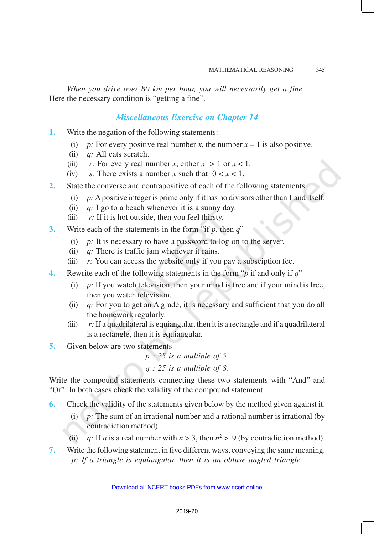*When you drive over 80 km per hour, you will necessarily get a fine.* Here the necessary condition is "getting a fine".

#### *Miscellaneous Exercise on Chapter 14*

- **1.** Write the negation of the following statements:
	- (i) *p*: For every positive real number *x*, the number  $x 1$  is also positive.
	- (ii) *q:* All cats scratch.
	- (iii) *r*: For every real number *x*, either  $x > 1$  or  $x < 1$ .
	- (iv)  $s:$  There exists a number *x* such that  $0 < x < 1$ .
- **2.** State the converse and contrapositive of each of the following statements:
	- (i) *p:* A positive integer is prime only if it has no divisors other than 1 and itself.
	- (ii) *q:* I go to a beach whenever it is a sunny day.
	- (iii) *r:* If it is hot outside, then you feel thirsty.
- **3.** Write each of the statements in the form "if *p*, then *q*"
	- (i) *p:* It is necessary to have a password to log on to the server.
	- (ii) *q:* There is traffic jam whenever it rains.
	- (iii)  $r:$  You can access the website only if you pay a subsciption fee.
- **4.** Rewrite each of the following statements in the form "*p* if and only if *q*"
	- (i) *p:* If you watch television, then your mind is free and if your mind is free, then you watch television.
	- (ii) *q:* For you to get an A grade, it is necessary and sufficient that you do all the homework regularly.
	- (iii) *r:* If a quadrilateral is equiangular, then it is a rectangle and if a quadrilateral is a rectangle, then it is equiangular.
- **5.** Given below are two statements

*p : 25 is a multiple of 5.*

*q : 25 is a multiple of 8.*

Write the compound statements connecting these two statements with "And" and "Or". In both cases check the validity of the compound statement.

- **6.** Check the validity of the statements given below by the method given against it.
	- (i) *p:* The sum of an irrational number and a rational number is irrational (by contradiction method).
	- (ii) *q*: If *n* is a real number with  $n > 3$ , then  $n^2 > 9$  (by contradiction method).
- **7.** Write the following statement in five different ways, conveying the same meaning. *p: If a triangle is equiangular, then it is an obtuse angled triangle.*